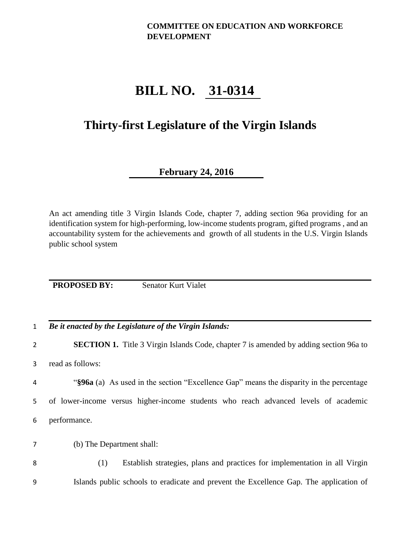#### **COMMITTEE ON EDUCATION AND WORKFORCE DEVELOPMENT**

# **BILL NO. 31-0314**

## **Thirty-first Legislature of the Virgin Islands**

### **February 24, 2016**

An act amending title 3 Virgin Islands Code, chapter 7, adding section 96a providing for an identification system for high-performing, low-income students program, gifted programs , and an accountability system for the achievements and growth of all students in the U.S. Virgin Islands public school system

**PROPOSED BY:** Senator Kurt Vialet

1 *Be it enacted by the Legislature of the Virgin Islands:*

2 **SECTION 1.** Title 3 Virgin Islands Code, chapter 7 is amended by adding section 96a to

3 read as follows:

4 "**§96a** (a) As used in the section "Excellence Gap" means the disparity in the percentage 5 of lower-income versus higher-income students who reach advanced levels of academic 6 performance.

7 (b) The Department shall:

8 (1) Establish strategies, plans and practices for implementation in all Virgin 9 Islands public schools to eradicate and prevent the Excellence Gap. The application of